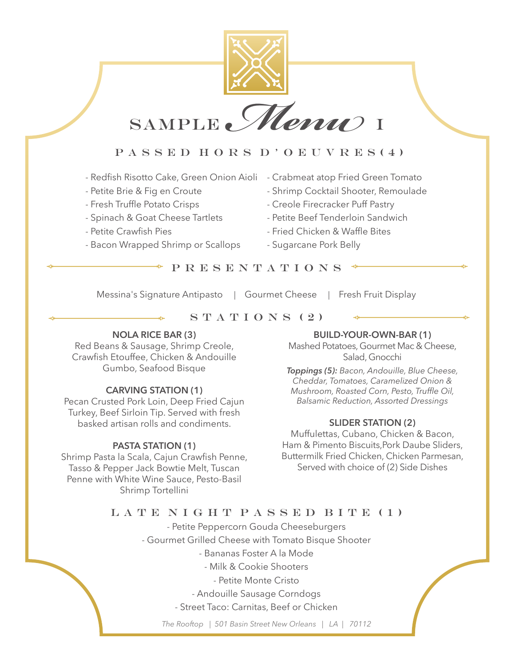

SAMPLE *Menu*) I

# PASSED HORS D'OEUVRES(4)

- Redfish Risotto Cake, Green Onion Aioli Crabmeat atop Fried Green Tomato
- 
- 
- 
- 
- Bacon Wrapped Shrimp or Scallops Sugarcane Pork Belly
- 
- Petite Brie & Fig en Croute Shrimp Cocktail Shooter, Remoulade
- Fresh Truffle Potato Crisps Creole Firecracker Puff Pastry
- Spinach & Goat Cheese Tartlets Petite Beef Tenderloin Sandwich
- Petite Crawfish Pies Fried Chicken & Waffle Bites
	-

P R E S E N T A T I O N S

Messina's Signature Antipasto | Gourmet Cheese | Fresh Fruit Display

## $S T A T I O N S (2)$

### **NOLA RICE BAR (3)**

Red Beans & Sausage, Shrimp Creole, Crawfish Etouffee, Chicken & Andouille Gumbo, Seafood Bisque

## **CARVING STATION (1)**

Pecan Crusted Pork Loin, Deep Fried Cajun Turkey, Beef Sirloin Tip. Served with fresh basked artisan rolls and condiments.

### **PASTA STATION (1)**

Shrimp Pasta la Scala, Cajun Crawfish Penne, Tasso & Pepper Jack Bowtie Melt, Tuscan Penne with White Wine Sauce, Pesto-Basil Shrimp Tortellini

### **BUILD-YOUR-OWN-BAR (1)**

Mashed Potatoes, Gourmet Mac & Cheese, Salad, Gnocchi

*Toppings (5): Bacon, Andouille, Blue Cheese, Cheddar, Tomatoes, Caramelized Onion & Mushroom, Roasted Corn, Pesto, Truffle Oil, Balsamic Reduction, Assorted Dressings* 

### **SLIDER STATION (2)**

Muffulettas, Cubano, Chicken & Bacon, Ham & Pimento Biscuits,Pork Daube Sliders, Buttermilk Fried Chicken, Chicken Parmesan, Served with choice of (2) Side Dishes

## LATE NIGHT PASSED BITE (1)

- Petite Peppercorn Gouda Cheeseburgers - Gourmet Grilled Cheese with Tomato Bisque Shooter - Bananas Foster A la Mode - Milk & Cookie Shooters - Petite Monte Cristo

- Andouille Sausage Corndogs

- Street Taco: Carnitas, Beef or Chicken

*The Rooftop | 501 Basin Street New Orleans | LA | 70112*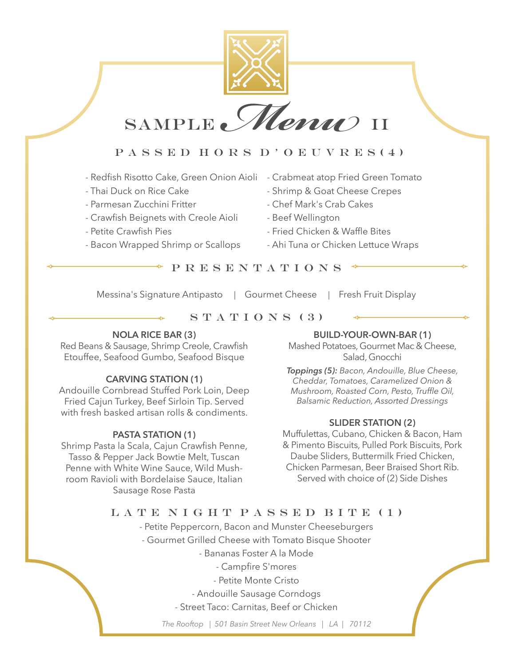

SAMPLE *Menu* II

# PASSED HORS D'OEUVRES(4)

- Redfish Risotto Cake, Green Onion Aioli Crabmeat atop Fried Green Tomato
- 
- 
- Crawfish Beignets with Creole Aioli Beef Wellington
- 
- Bacon Wrapped Shrimp or Scallops Ahi Tuna or Chicken Lettuce Wraps
- 
- Thai Duck on Rice Cake  $\overline{\phantom{a}}$  Shrimp & Goat Cheese Crepes
- Parmesan Zucchini Fritter Chef Mark's Crab Cakes
	-
- Petite Crawfish Pies Fried Chicken & Waffle Bites
	-

P R E S E N T A T I O N S

Messina's Signature Antipasto | Gourmet Cheese | Fresh Fruit Display

## $S T A T I O N S (3)$

## **NOLA RICE BAR (3)**

Red Beans & Sausage, Shrimp Creole, Crawfish Etouffee, Seafood Gumbo, Seafood Bisque

## **CARVING STATION (1)**

Andouille Cornbread Stuffed Pork Loin, Deep Fried Cajun Turkey, Beef Sirloin Tip. Served with fresh basked artisan rolls & condiments.

#### **PASTA STATION (1)**

Shrimp Pasta la Scala, Cajun Crawfish Penne, Tasso & Pepper Jack Bowtie Melt, Tuscan Penne with White Wine Sauce, Wild Mushroom Ravioli with Bordelaise Sauce, Italian Sausage Rose Pasta

### **BUILD-YOUR-OWN-BAR (1)**

Mashed Potatoes, Gourmet Mac & Cheese, Salad, Gnocchi

*Toppings (5): Bacon, Andouille, Blue Cheese, Cheddar, Tomatoes, Caramelized Onion & Mushroom, Roasted Corn, Pesto, Truffle Oil, Balsamic Reduction, Assorted Dressings* 

### **SLIDER STATION (2)**

Muffulettas, Cubano, Chicken & Bacon, Ham & Pimento Biscuits, Pulled Pork Biscuits, Pork Daube Sliders, Buttermilk Fried Chicken, Chicken Parmesan, Beer Braised Short Rib. Served with choice of (2) Side Dishes

## LATE NIGHT PASSED BITE (1)

- Petite Peppercorn, Bacon and Munster Cheeseburgers

- Gourmet Grilled Cheese with Tomato Bisque Shooter

- Bananas Foster A la Mode

- Campfire S'mores

- Petite Monte Cristo

- Andouille Sausage Corndogs

- Street Taco: Carnitas, Beef or Chicken

*The Rooftop | 501 Basin Street New Orleans | LA | 70112*